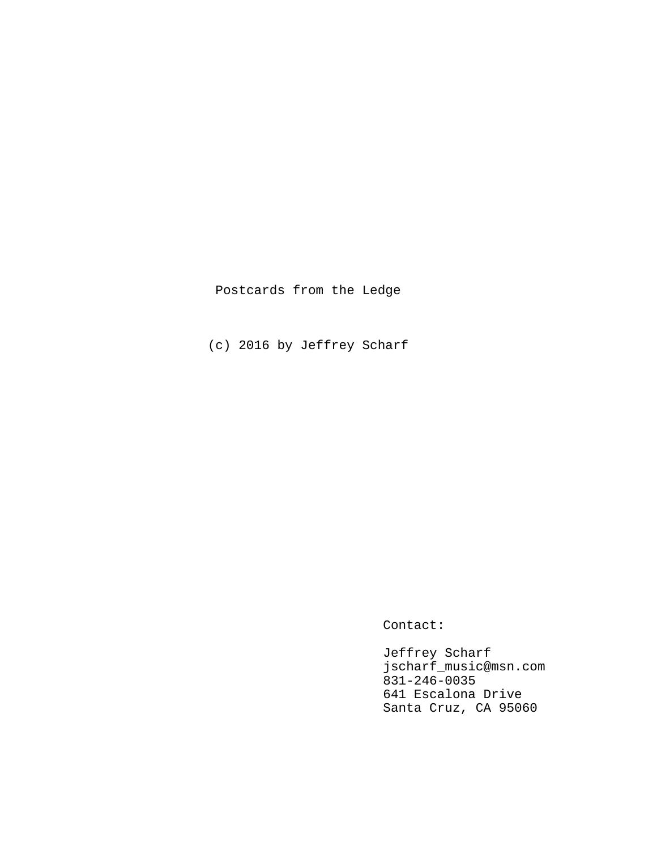Postcards from the Ledge

(c) 2016 by Jeffrey Scharf

Contact:

Jeffrey Scharf jscharf\_music@msn.com 831-246-0035 641 Escalona Drive Santa Cruz, CA 95060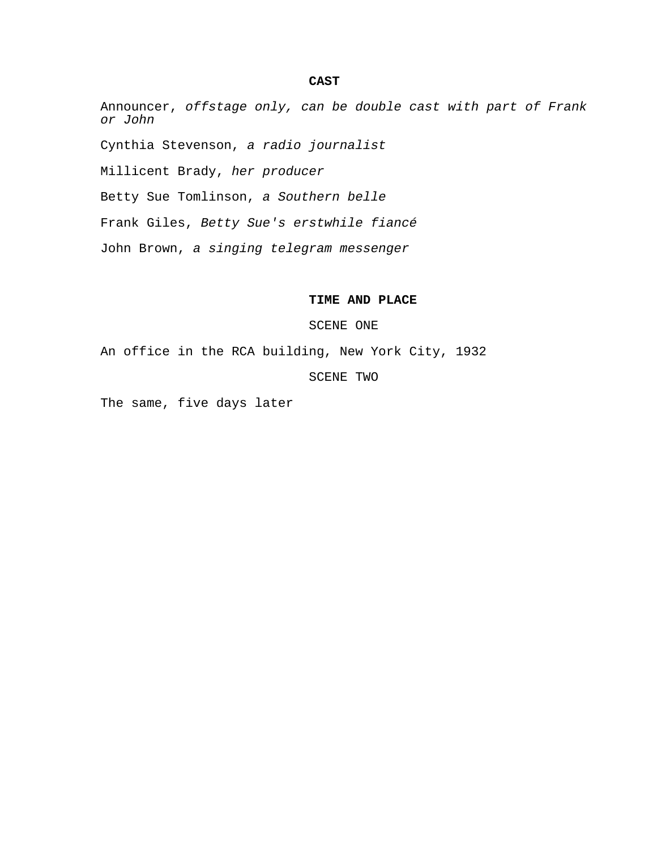Announcer, offstage only, can be double cast with part of Frank or John

Cynthia Stevenson, a radio journalist

Millicent Brady, her producer

Betty Sue Tomlinson, a Southern belle

Frank Giles, Betty Sue's erstwhile fiancé

John Brown, a singing telegram messenger

# **TIME AND PLACE**

SCENE ONE

An office in the RCA building, New York City, 1932 SCENE TWO

The same, five days later

### **CAST**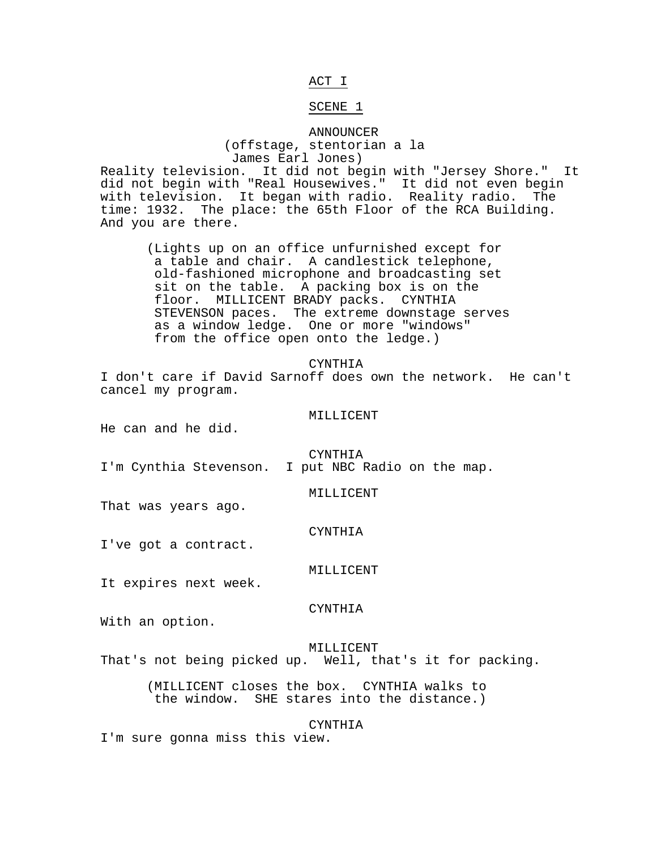# ACT I

### SCENE 1

# ANNOUNCER (offstage, stentorian a la James Earl Jones)

Reality television. It did not begin with "Jersey Shore." It did not begin with "Real Housewives." It did not even begin with television. It began with radio. Reality radio. The time: 1932. The place: the 65th Floor of the RCA Building. And you are there.

> (Lights up on an office unfurnished except for a table and chair. A candlestick telephone, old-fashioned microphone and broadcasting set sit on the table. A packing box is on the floor. MILLICENT BRADY packs. CYNTHIA STEVENSON paces. The extreme downstage serves as a window ledge. One or more "windows" from the office open onto the ledge.)

> > CYNTHIA

I don't care if David Sarnoff does own the network. He can't cancel my program.

### MILLICENT

He can and he did.

CYNTHIA

I'm Cynthia Stevenson. I put NBC Radio on the map.

MILLICENT

That was years ago.

CYNTHIA

I've got a contract.

MILLICENT

It expires next week.

## CYNTHIA

With an option.

MILLICENT

That's not being picked up. Well, that's it for packing.

(MILLICENT closes the box. CYNTHIA walks to the window. SHE stares into the distance.)

### CYNTHIA

I'm sure gonna miss this view.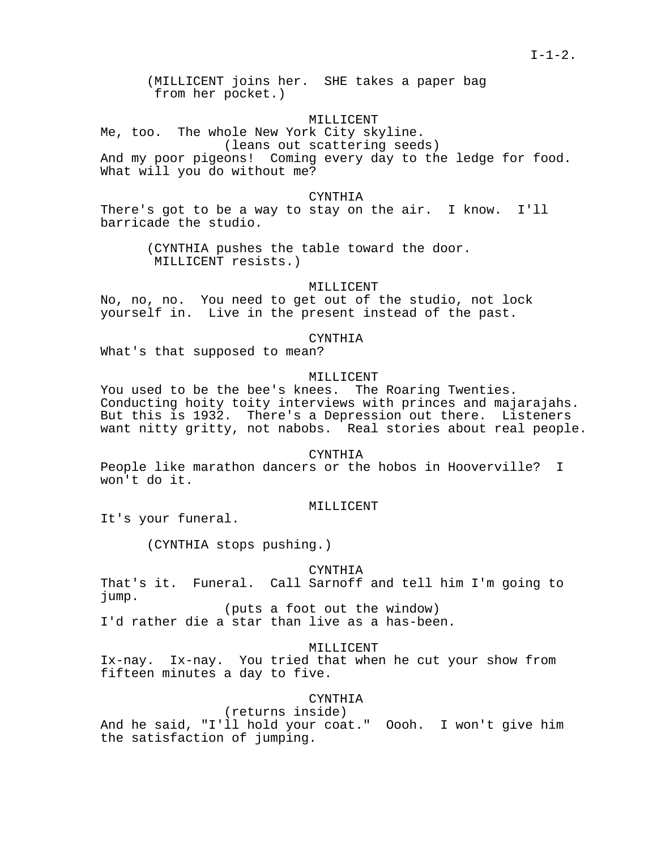(MILLICENT joins her. SHE takes a paper bag from her pocket.)

### MILLICENT

Me, too. The whole New York City skyline. (leans out scattering seeds) And my poor pigeons! Coming every day to the ledge for food. What will you do without me?

### CYNTHIA

There's got to be a way to stay on the air. I know. I'll barricade the studio.

> (CYNTHIA pushes the table toward the door. MILLICENT resists.)

### MILLICENT

No, no, no. You need to get out of the studio, not lock yourself in. Live in the present instead of the past.

### CYNTHIA

What's that supposed to mean?

## MILLICENT

You used to be the bee's knees. The Roaring Twenties. Conducting hoity toity interviews with princes and majarajahs. But this is 1932. There's a Depression out there. Listeners want nitty gritty, not nabobs. Real stories about real people.

# CYNTHIA

People like marathon dancers or the hobos in Hooverville? I won't do it.

### MILLICENT

It's your funeral.

(CYNTHIA stops pushing.)

### CYNTHIA

That's it. Funeral. Call Sarnoff and tell him I'm going to jump.

# (puts a foot out the window)

I'd rather die a star than live as a has-been.

### MILLICENT

Ix-nay. Ix-nay. You tried that when he cut your show from fifteen minutes a day to five.

### CYNTHIA

(returns inside) And he said, "I'll hold your coat." Oooh. I won't give him the satisfaction of jumping.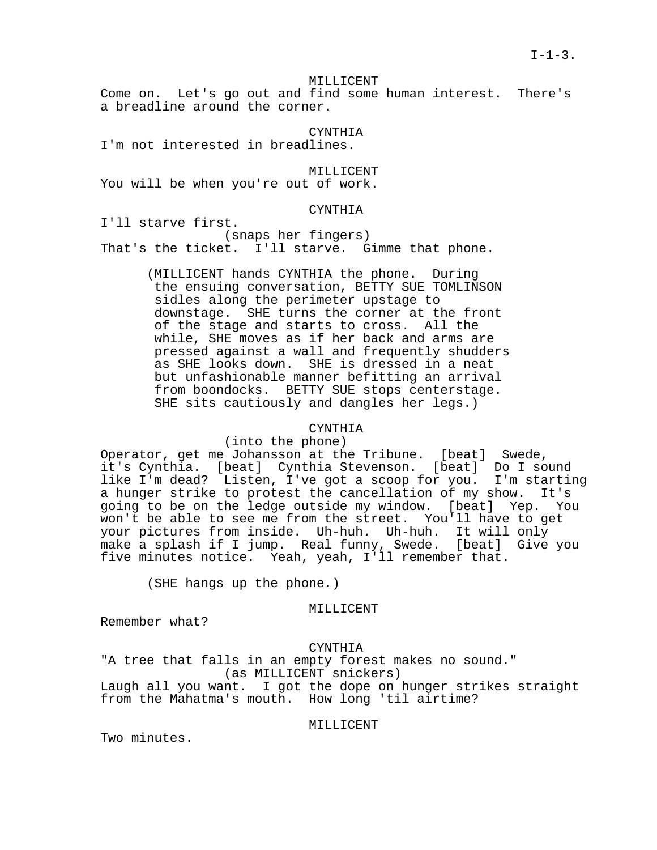### MILLICENT

Come on. Let's go out and find some human interest. There's a breadline around the corner.

CYNTHIA

I'm not interested in breadlines.

MILLICENT

You will be when you're out of work.

### CYNTHIA

I'll starve first.

(snaps her fingers) That's the ticket. I'll starve. Gimme that phone.

> (MILLICENT hands CYNTHIA the phone. During the ensuing conversation, BETTY SUE TOMLINSON sidles along the perimeter upstage to downstage. SHE turns the corner at the front of the stage and starts to cross. All the while, SHE moves as if her back and arms are pressed against a wall and frequently shudders as SHE looks down. SHE is dressed in a neat but unfashionable manner befitting an arrival from boondocks. BETTY SUE stops centerstage. SHE sits cautiously and dangles her legs.)

# CYNTHIA

# (into the phone)

Operator, get me Johansson at the Tribune. [beat] Swede, it's Cynthia. [beat] Cynthia Stevenson. [beat] Do I sound like I'm dead? Listen, I've got a scoop for you. I'm starting a hunger strike to protest the cancellation of my show. It's going to be on the ledge outside my window. [beat] Yep. You won't be able to see me from the street. You'll have to get your pictures from inside. Uh-huh. Uh-huh. It will only make a splash if I jump. Real funny, Swede. [beat] Give you five minutes notice. Yeah, yeah, I'll remember that.

(SHE hangs up the phone.)

# MILLICENT

Remember what?

# CYNTHIA

"A tree that falls in an empty forest makes no sound." (as MILLICENT snickers)

Laugh all you want. I got the dope on hunger strikes straight from the Mahatma's mouth. How long 'til airtime?

# MILLICENT

Two minutes.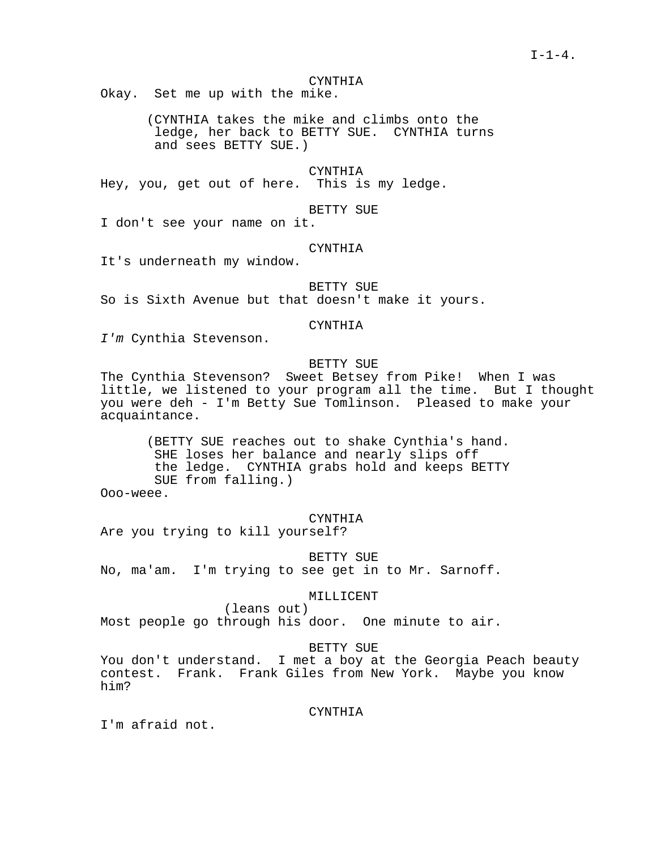### CYNTHIA

Okay. Set me up with the mike.

(CYNTHIA takes the mike and climbs onto the ledge, her back to BETTY SUE. CYNTHIA turns and sees BETTY SUE.)

CYNTHIA

Hey, you, get out of here. This is my ledge.

BETTY SUE

I don't see your name on it.

# CYNTHIA

It's underneath my window.

BETTY SUE

So is Sixth Avenue but that doesn't make it yours.

# CYNTHIA

I'm Cynthia Stevenson.

### BETTY SUE

The Cynthia Stevenson? Sweet Betsey from Pike! When I was little, we listened to your program all the time. But I thought you were deh - I'm Betty Sue Tomlinson. Pleased to make your acquaintance.

(BETTY SUE reaches out to shake Cynthia's hand. SHE loses her balance and nearly slips off the ledge. CYNTHIA grabs hold and keeps BETTY SUE from falling.)

Ooo-weee.

### CYNTHIA

Are you trying to kill yourself?

BETTY SUE

No, ma'am. I'm trying to see get in to Mr. Sarnoff.

# MILLICENT

(leans out) Most people go through his door. One minute to air.

BETTY SUE

You don't understand. I met a boy at the Georgia Peach beauty contest. Frank. Frank Giles from New York. Maybe you know him?

# CYNTHIA

I'm afraid not.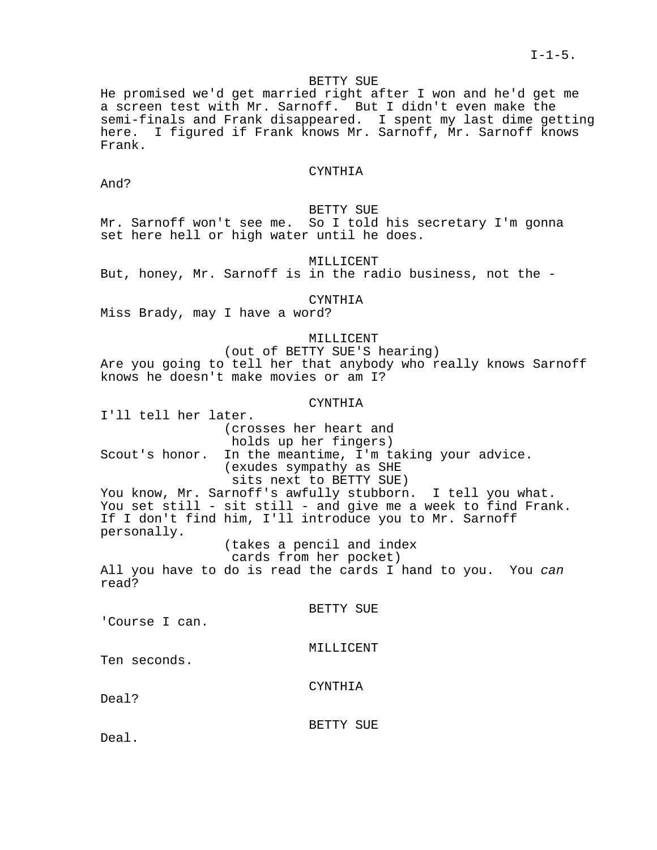### BETTY SUE

He promised we'd get married right after I won and he'd get me a screen test with Mr. Sarnoff. But I didn't even make the semi-finals and Frank disappeared. I spent my last dime getting here. I figured if Frank knows Mr. Sarnoff, Mr. Sarnoff knows Frank.

# CYNTHIA

And?

# BETTY SUE

Mr. Sarnoff won't see me. So I told his secretary I'm gonna set here hell or high water until he does.

MILLICENT

But, honey, Mr. Sarnoff is in the radio business, not the -

# CYNTHIA

Miss Brady, may I have a word?

### MILLICENT

(out of BETTY SUE'S hearing) Are you going to tell her that anybody who really knows Sarnoff knows he doesn't make movies or am I?

# CYNTHIA

I'll tell her later. (crosses her heart and holds up her fingers) Scout's honor. In the meantime, I'm taking your advice. (exudes sympathy as SHE sits next to BETTY SUE) You know, Mr. Sarnoff's awfully stubborn. I tell you what. You set still - sit still - and give me a week to find Frank. If I don't find him, I'll introduce you to Mr. Sarnoff personally. (takes a pencil and index cards from her pocket) All you have to do is read the cards I hand to you. You can read? BETTY SUE 'Course I can. MILLICENT Ten seconds. CYNTHIA Deal? BETTY SUE

Deal.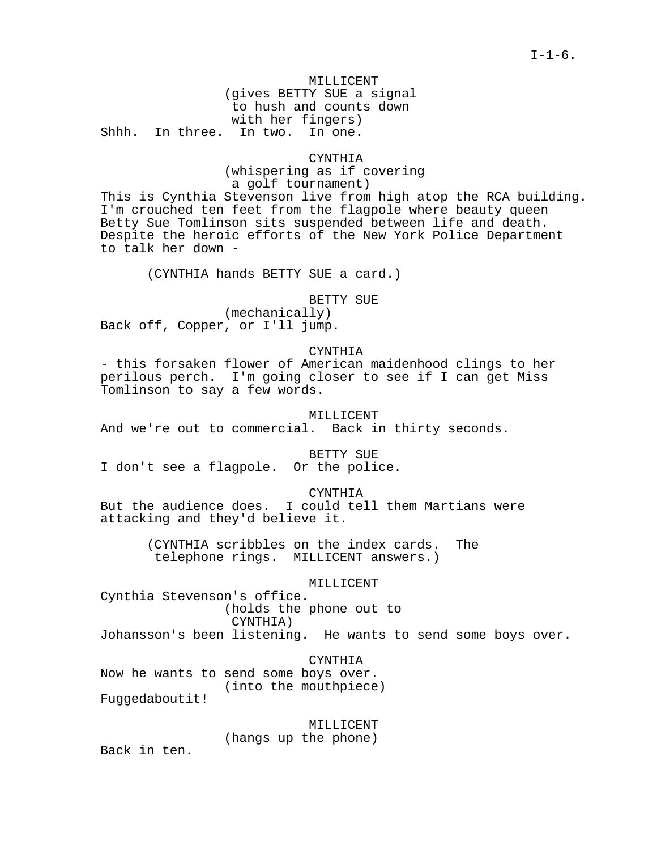MILLICENT (gives BETTY SUE a signal to hush and counts down with her fingers) Shhh. In three. In two. In one.

CYNTHIA

(whispering as if covering a golf tournament)

This is Cynthia Stevenson live from high atop the RCA building. I'm crouched ten feet from the flagpole where beauty queen Betty Sue Tomlinson sits suspended between life and death. Despite the heroic efforts of the New York Police Department to talk her down -

(CYNTHIA hands BETTY SUE a card.)

BETTY SUE

(mechanically) Back off, Copper, or I'll jump.

CYNTHIA

- this forsaken flower of American maidenhood clings to her perilous perch. I'm going closer to see if I can get Miss Tomlinson to say a few words.

MILLICENT

And we're out to commercial. Back in thirty seconds.

BETTY SUE

I don't see a flagpole. Or the police.

CYNTHIA

But the audience does. I could tell them Martians were attacking and they'd believe it.

> (CYNTHIA scribbles on the index cards. The telephone rings. MILLICENT answers.)

> > MILLICENT

Cynthia Stevenson's office. (holds the phone out to CYNTHIA) Johansson's been listening. He wants to send some boys over.

CYNTHIA Now he wants to send some boys over. (into the mouthpiece) Fuggedaboutit!

> MILLICENT (hangs up the phone)

Back in ten.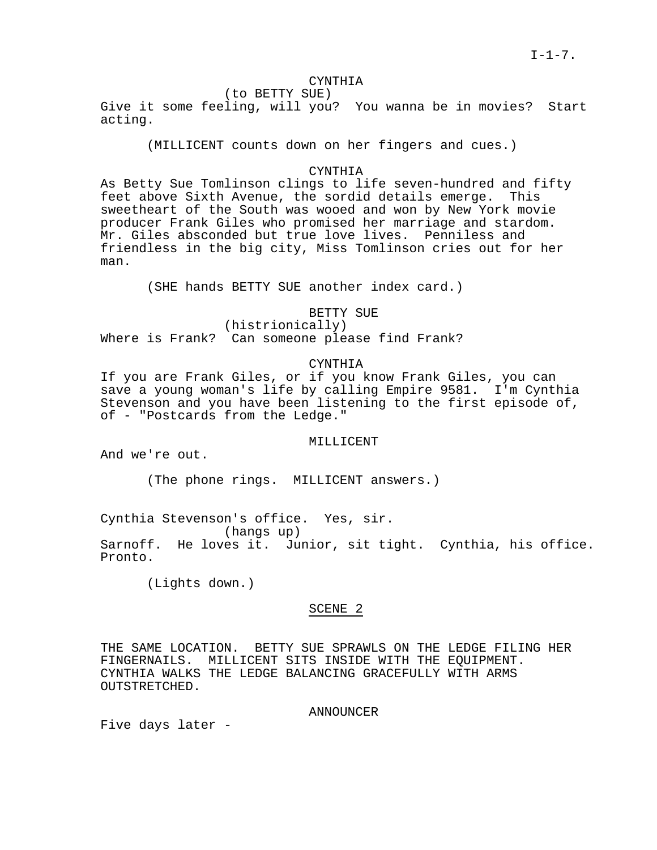$I-1-7$ .

# CYNTHIA

(to BETTY SUE) Give it some feeling, will you? You wanna be in movies? Start acting.

(MILLICENT counts down on her fingers and cues.)

# CYNTHIA

As Betty Sue Tomlinson clings to life seven-hundred and fifty feet above Sixth Avenue, the sordid details emerge. This sweetheart of the South was wooed and won by New York movie producer Frank Giles who promised her marriage and stardom. Mr. Giles absconded but true love lives. Penniless and friendless in the big city, Miss Tomlinson cries out for her man.

(SHE hands BETTY SUE another index card.)

# BETTY SUE

(histrionically) Where is Frank? Can someone please find Frank?

# CYNTHIA

If you are Frank Giles, or if you know Frank Giles, you can save a young woman's life by calling Empire 9581. I'm Cynthia Stevenson and you have been listening to the first episode of, of - "Postcards from the Ledge."

# MILLICENT

And we're out.

(The phone rings. MILLICENT answers.)

Cynthia Stevenson's office. Yes, sir. (hangs up) Sarnoff. He loves it. Junior, sit tight. Cynthia, his office. Pronto.

(Lights down.)

# SCENE 2

THE SAME LOCATION. BETTY SUE SPRAWLS ON THE LEDGE FILING HER FINGERNAILS. MILLICENT SITS INSIDE WITH THE EQUIPMENT. CYNTHIA WALKS THE LEDGE BALANCING GRACEFULLY WITH ARMS OUTSTRETCHED.

### ANNOUNCER

Five days later -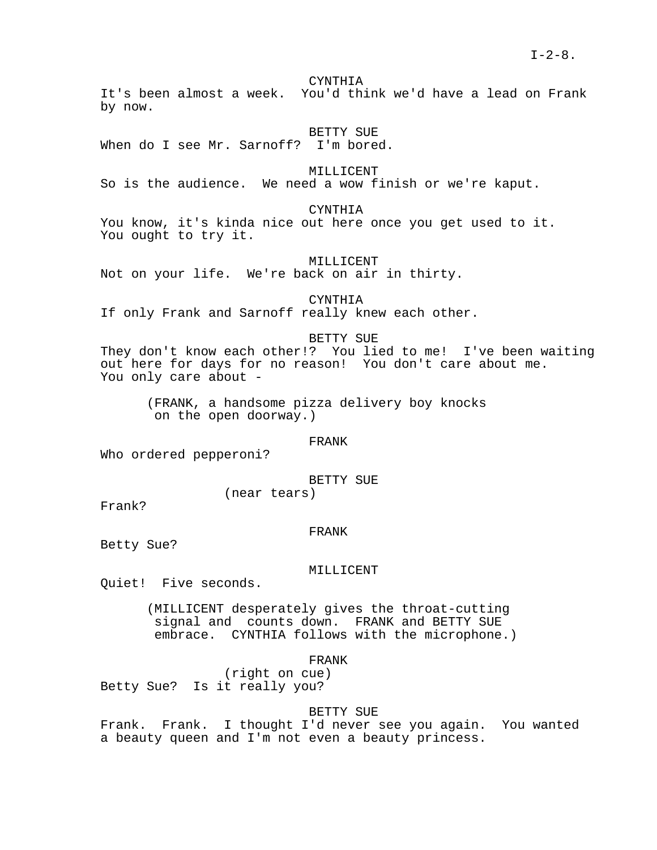# CYNTHIA

It's been almost a week. You'd think we'd have a lead on Frank by now.

BETTY SUE

When do I see Mr. Sarnoff? I'm bored.

MILLICENT

So is the audience. We need a wow finish or we're kaput.

# CYNTHIA

You know, it's kinda nice out here once you get used to it. You ought to try it.

MILLICENT

Not on your life. We're back on air in thirty.

CYNTHIA

If only Frank and Sarnoff really knew each other.

# BETTY SUE

They don't know each other!? You lied to me! I've been waiting out here for days for no reason! You don't care about me. You only care about -

(FRANK, a handsome pizza delivery boy knocks on the open doorway.)

# FRANK

Who ordered pepperoni?

BETTY SUE

(near tears)

Frank?

### FRANK

Betty Sue?

# MILLICENT

Quiet! Five seconds.

(MILLICENT desperately gives the throat-cutting signal and counts down. FRANK and BETTY SUE embrace. CYNTHIA follows with the microphone.)

# FRANK

(right on cue) Betty Sue? Is it really you?

# BETTY SUE

Frank. Frank. I thought I'd never see you again. You wanted a beauty queen and I'm not even a beauty princess.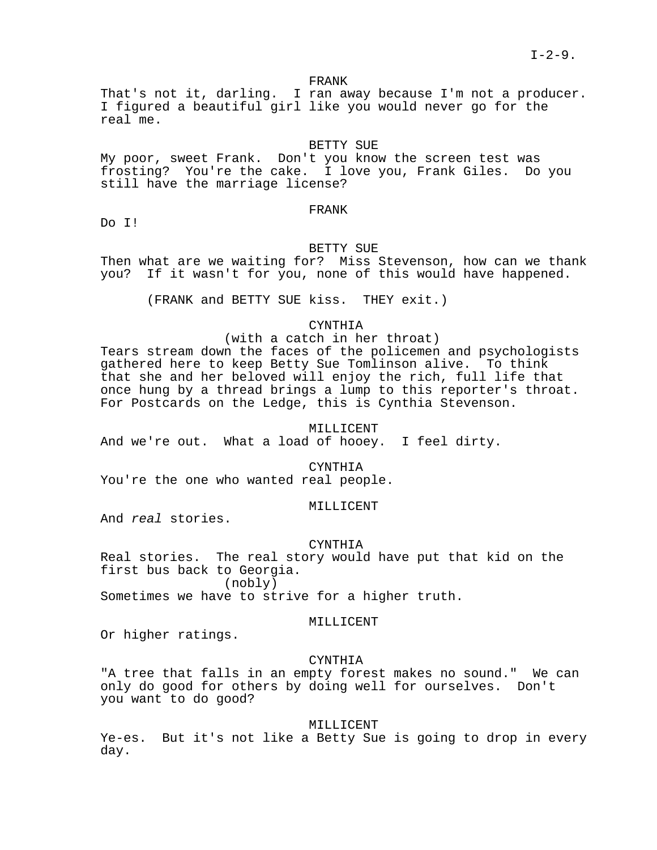### FRANK

That's not it, darling. I ran away because I'm not a producer. I figured a beautiful girl like you would never go for the real me.

### BETTY SUE

My poor, sweet Frank. Don't you know the screen test was frosting? You're the cake. I love you, Frank Giles. Do you still have the marriage license?

### FRANK

Do I!

# BETTY SUE

Then what are we waiting for? Miss Stevenson, how can we thank you? If it wasn't for you, none of this would have happened.

(FRANK and BETTY SUE kiss. THEY exit.)

# CYNTHIA

(with a catch in her throat)

Tears stream down the faces of the policemen and psychologists gathered here to keep Betty Sue Tomlinson alive. To think that she and her beloved will enjoy the rich, full life that once hung by a thread brings a lump to this reporter's throat. For Postcards on the Ledge, this is Cynthia Stevenson.

# MILLICENT

And we're out. What a load of hooey. I feel dirty.

### CYNTHIA

You're the one who wanted real people.

### MILLICENT

And real stories.

### CYNTHIA

Real stories. The real story would have put that kid on the first bus back to Georgia.

(nobly)

Sometimes we have to strive for a higher truth.

# MILLICENT

Or higher ratings.

### CYNTHIA

"A tree that falls in an empty forest makes no sound." We can only do good for others by doing well for ourselves. Don't you want to do good?

### MILLICENT

Ye-es. But it's not like a Betty Sue is going to drop in every day.